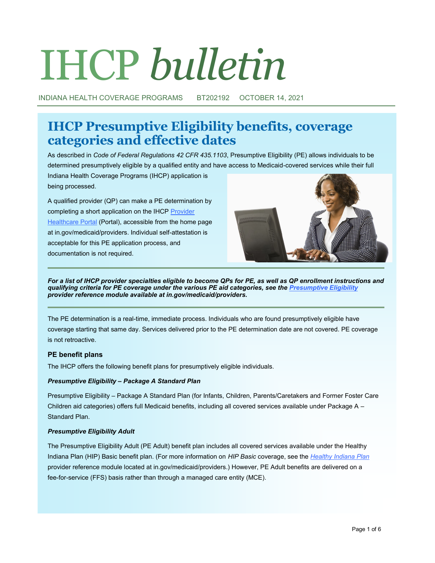# IHCP *bulletin*

INDIANA HEALTH COVERAGE PROGRAMS BT202192 OCTOBER 14, 2021

# **IHCP Presumptive Eligibility benefits, coverage categories and effective dates**

As described in *Code of Federal Regulations 42 CFR 435.1103*, Presumptive Eligibility (PE) allows individuals to be determined presumptively eligible by a qualified entity and have access to Medicaid-covered services while their full

Indiana Health Coverage Programs (IHCP) application is being processed.

A qualified provider (QP) can make a PE determination by completing a short application on the IHCP Provider [Healthcare Portal](https://portal.indianamedicaid.com) (Portal), accessible from the home page at in.gov/medicaid/providers. Individual self-attestation is acceptable for this PE application process, and documentation is not required.



For a list of IHCP provider specialties eligible to become QPs for PE, as well as QP enrollment instructions and *qualifying criteria for PE coverage under the various PE aid categories, see the [Presumptive Eligibility](https://www.in.gov/medicaid/providers/files/presumptive-eligibility.pdf) provider reference module available at in.gov/medicaid/providers.*

The PE determination is a real-time, immediate process. Individuals who are found presumptively eligible have coverage starting that same day. Services delivered prior to the PE determination date are not covered. PE coverage is not retroactive.

# **PE benefit plans**

The IHCP offers the following benefit plans for presumptively eligible individuals.

# *Presumptive Eligibility – Package A Standard Plan*

Presumptive Eligibility – Package A Standard Plan (for Infants, Children, Parents/Caretakers and Former Foster Care Children aid categories) offers full Medicaid benefits, including all covered services available under Package A – Standard Plan.

# *Presumptive Eligibility Adult*

The Presumptive Eligibility Adult (PE Adult) benefit plan includes all covered services available under the Healthy Indiana Plan (HIP) Basic benefit plan. (For more information on *HIP Basic* coverage, see the *[Healthy Indiana Plan](https://www.in.gov/medicaid/providers/files/healthy-indiana-plan.pdf)* provider reference module located at in.gov/medicaid/providers.) However, PE Adult benefits are delivered on a fee-for-service (FFS) basis rather than through a managed care entity (MCE).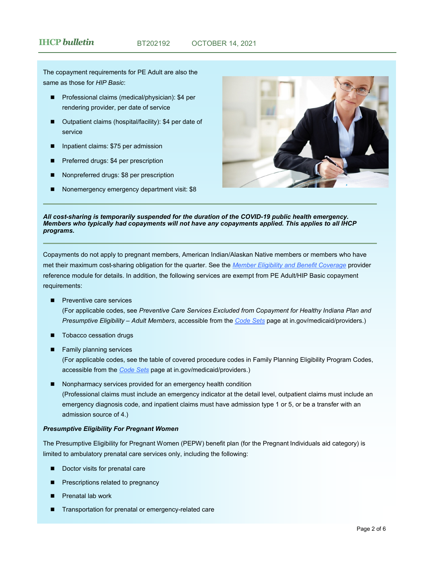The copayment requirements for PE Adult are also the same as those for *HIP Basic*:

- ◼ Professional claims (medical/physician): \$4 per rendering provider, per date of service
- Outpatient claims (hospital/facility): \$4 per date of service
- Inpatient claims: \$75 per admission
- Preferred drugs: \$4 per prescription
- ◼ Nonpreferred drugs: \$8 per prescription
- Nonemergency emergency department visit: \$8



#### *All cost-sharing is temporarily suspended for the duration of the COVID-19 public health emergency. Members who typically had copayments will not have any copayments applied. This applies to all IHCP programs.*

Copayments do not apply to pregnant members, American Indian/Alaskan Native members or members who have met their maximum cost-sharing obligation for the quarter. See the *[Member Eligibility and Benefit Coverage](https://www.in.gov/medicaid/providers/files/member-eligibility-and-benefit-coverage.pdf)* provider reference module for details. In addition, the following services are exempt from PE Adult/HIP Basic copayment requirements:

Preventive care services

(For applicable codes, see *Preventive Care Services Excluded from Copayment for Healthy Indiana Plan and Presumptive Eligibility – Adult Members*, accessible from the *[Code Sets](https://www.in.gov/medicaid/providers/business-transactions/billing-and-remittance/code-sets/)* page at in.gov/medicaid/providers.)

- Tobacco cessation drugs
- Family planning services

(For applicable codes, see the table of covered procedure codes in Family Planning Eligibility Program Codes, accessible from the *[Code Sets](https://www.in.gov/medicaid/providers/business-transactions/billing-and-remittance/code-sets/)* page at in.gov/medicaid/providers.)

Nonpharmacy services provided for an emergency health condition (Professional claims must include an emergency indicator at the detail level, outpatient claims must include an emergency diagnosis code, and inpatient claims must have admission type 1 or 5, or be a transfer with an admission source of 4.)

#### *Presumptive Eligibility For Pregnant Women*

The Presumptive Eligibility for Pregnant Women (PEPW) benefit plan (for the Pregnant Individuals aid category) is limited to ambulatory prenatal care services only, including the following:

- Doctor visits for prenatal care
- Prescriptions related to pregnancy
- Prenatal lab work
- Transportation for prenatal or emergency-related care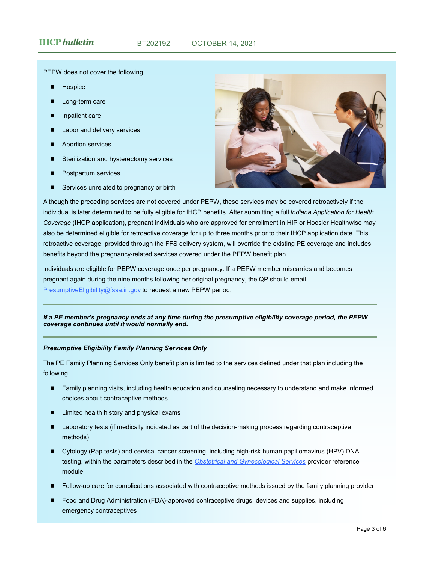PEPW does not cover the following:

- **Hospice**
- Long-term care
- Inpatient care
- Labor and delivery services
- **Abortion services**
- Sterilization and hysterectomy services
- Postpartum services
- Services unrelated to pregnancy or birth



Although the preceding services are not covered under PEPW, these services may be covered retroactively if the individual is later determined to be fully eligible for IHCP benefits. After submitting a full *Indiana Application for Health Coverage* (IHCP application), pregnant individuals who are approved for enrollment in HIP or Hoosier Healthwise may also be determined eligible for retroactive coverage for up to three months prior to their IHCP application date. This retroactive coverage, provided through the FFS delivery system, will override the existing PE coverage and includes benefits beyond the pregnancy-related services covered under the PEPW benefit plan.

Individuals are eligible for PEPW coverage once per pregnancy. If a PEPW member miscarries and becomes pregnant again during the nine months following her original pregnancy, the QP should email [PresumptiveEligibility@fssa.in.gov](mailto:PresumptiveEligibility@fssa.in.gov) to request a new PEPW period.

#### *If a PE member's pregnancy ends at any time during the presumptive eligibility coverage period, the PEPW coverage continues until it would normally end.*

#### *Presumptive Eligibility Family Planning Services Only*

The PE Family Planning Services Only benefit plan is limited to the services defined under that plan including the following:

- Family planning visits, including health education and counseling necessary to understand and make informed choices about contraceptive methods
- Limited health history and physical exams
- Laboratory tests (if medically indicated as part of the decision-making process regarding contraceptive methods)
- Cytology (Pap tests) and cervical cancer screening, including high-risk human papillomavirus (HPV) DNA testing, within the parameters described in the *[Obstetrical and Gynecological Services](https://www.in.gov/medicaid/providers/files/obstetrical-and-gynecological-services.pdf)* provider reference module
- ◼ Follow-up care for complications associated with contraceptive methods issued by the family planning provider
- Food and Drug Administration (FDA)-approved contraceptive drugs, devices and supplies, including emergency contraceptives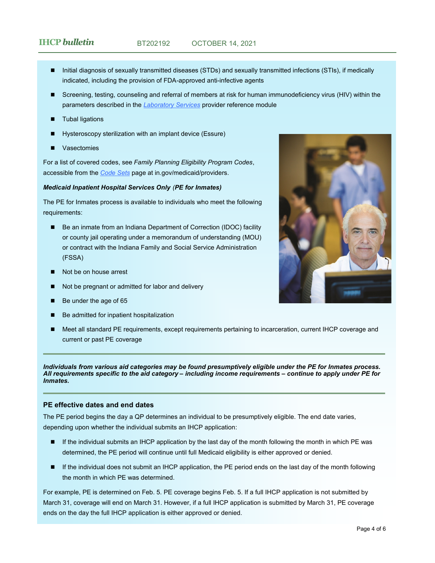- Initial diagnosis of sexually transmitted diseases (STDs) and sexually transmitted infections (STIs), if medically indicated, including the provision of FDA-approved anti-infective agents
- Screening, testing, counseling and referral of members at risk for human immunodeficiency virus (HIV) within the parameters described in the *[Laboratory Services](https://www.in.gov/medicaid/providers/files/laboratory-services.pdf)* provider reference module
- **Tubal ligations**
- Hysteroscopy sterilization with an implant device (Essure)
- **Vasectomies**

For a list of covered codes, see *Family Planning Eligibility Program Codes*, accessible from the *[Code Sets](https://www.in.gov/medicaid/providers/business-transactions/billing-and-remittance/code-sets/)* page at in.gov/medicaid/providers.

#### *Medicaid Inpatient Hospital Services Only (PE for Inmates)*

The PE for Inmates process is available to individuals who meet the following requirements:

- Be an inmate from an Indiana Department of Correction (IDOC) facility or county jail operating under a memorandum of understanding (MOU) or contract with the Indiana Family and Social Service Administration (FSSA)
- Not be on house arrest
- Not be pregnant or admitted for labor and delivery
- Be under the age of 65
- Be admitted for inpatient hospitalization
- Meet all standard PE requirements, except requirements pertaining to incarceration, current IHCP coverage and current or past PE coverage

*Individuals from various aid categories may be found presumptively eligible under the PE for Inmates process. All requirements specific to the aid category – including income requirements – continue to apply under PE for Inmates.*

#### **PE effective dates and end dates**

The PE period begins the day a QP determines an individual to be presumptively eligible. The end date varies, depending upon whether the individual submits an IHCP application:

- If the individual submits an IHCP application by the last day of the month following the month in which PE was determined, the PE period will continue until full Medicaid eligibility is either approved or denied.
- ◼ If the individual does not submit an IHCP application, the PE period ends on the last day of the month following the month in which PE was determined.

For example, PE is determined on Feb. 5. PE coverage begins Feb. 5. If a full IHCP application is not submitted by March 31, coverage will end on March 31. However, if a full IHCP application is submitted by March 31, PE coverage ends on the day the full IHCP application is either approved or denied.

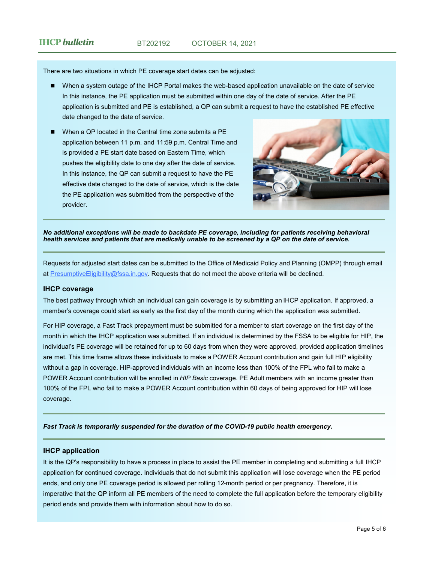# **IHCP** *bulletin* BT202192 OCTOBER 14, 2021

There are two situations in which PE coverage start dates can be adjusted:

- When a system outage of the IHCP Portal makes the web-based application unavailable on the date of service In this instance, the PE application must be submitted within one day of the date of service. After the PE application is submitted and PE is established, a QP can submit a request to have the established PE effective date changed to the date of service.
- When a QP located in the Central time zone submits a PE application between 11 p.m. and 11:59 p.m. Central Time and is provided a PE start date based on Eastern Time, which pushes the eligibility date to one day after the date of service. In this instance, the QP can submit a request to have the PE effective date changed to the date of service, which is the date the PE application was submitted from the perspective of the provider.



*No additional exceptions will be made to backdate PE coverage, including for patients receiving behavioral health services and patients that are medically unable to be screened by a QP on the date of service.*

Requests for adjusted start dates can be submitted to the Office of Medicaid Policy and Planning (OMPP) through email at [PresumptiveEligibility@fssa.in.gov.](mailto:PresumptiveEligibility@fssa.in.gov) Requests that do not meet the above criteria will be declined.

#### **IHCP coverage**

The best pathway through which an individual can gain coverage is by submitting an IHCP application. If approved, a member's coverage could start as early as the first day of the month during which the application was submitted.

For HIP coverage, a Fast Track prepayment must be submitted for a member to start coverage on the first day of the month in which the IHCP application was submitted. If an individual is determined by the FSSA to be eligible for HIP, the individual's PE coverage will be retained for up to 60 days from when they were approved, provided application timelines are met. This time frame allows these individuals to make a POWER Account contribution and gain full HIP eligibility without a gap in coverage. HIP-approved individuals with an income less than 100% of the FPL who fail to make a POWER Account contribution will be enrolled in *HIP Basic* coverage. PE Adult members with an income greater than 100% of the FPL who fail to make a POWER Account contribution within 60 days of being approved for HIP will lose coverage.

*Fast Track is temporarily suspended for the duration of the COVID-19 public health emergency.*

#### **IHCP application**

It is the QP's responsibility to have a process in place to assist the PE member in completing and submitting a full IHCP application for continued coverage. Individuals that do not submit this application will lose coverage when the PE period ends, and only one PE coverage period is allowed per rolling 12-month period or per pregnancy. Therefore, it is imperative that the QP inform all PE members of the need to complete the full application before the temporary eligibility period ends and provide them with information about how to do so.